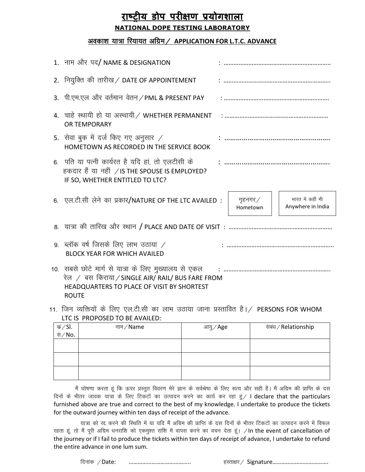## **राष्ट्रीय डोप परीक्षण प्रयोगशाऱा NATIONAL DOPE TESTING LABORATORY**

## अवकाश यात्रा रियायत अग्रिम / APPLICATION FOR L.T.C. ADVANCE

| 1. नाम और पद/ NAME & DESIGNATION                                                                                                                                       |                             |                                       |
|------------------------------------------------------------------------------------------------------------------------------------------------------------------------|-----------------------------|---------------------------------------|
| 2. नियुक्ति की तारीख / DATE OF APPOINTEMENT                                                                                                                            |                             |                                       |
| 3. पी.एम.एल और वर्तमान वेतन / PML & PRESENT PAY                                                                                                                        |                             |                                       |
| 4. चाहे स्थायी हो या अस्थायी / WHETHER PERMANENT<br>OR TEMPORARY                                                                                                       |                             |                                       |
| 5. सेवा बुक में दर्ज किए गए अनुसार /<br>HOMETOWN AS RECORDED IN THE SERVICE BOOK                                                                                       |                             |                                       |
| 6.  पति या पत्नी कार्यरत है यदि हां, तो एलटीसी के<br>हकदार हैं या नहीं /IS THE SPOUSE IS EMPLOYED?<br>IF SO, WHETHER ENTITLED TO LTC?                                  |                             |                                       |
| 6. एल.टी.सी लेने का प्रकार/NATURE OF THE LTC AVAILED:                                                                                                                  | गृहनगर $\angle$<br>Hometown | भारत में कहीं भी<br>Anywhere in India |
|                                                                                                                                                                        |                             |                                       |
| 9. ब्लॉक वर्ष जिसके लिए लाभ उठाया $\angle$<br><b>BLOCK YEAR FOR WHICH AVAILED</b>                                                                                      |                             |                                       |
| 10.  सबसे छोटे मार्ग से यात्रा के लिए मुख्यालय से एकल<br>रेल / बस किराया/SINGLE AIR/ RAIL/ BUS FARE FROM<br>HEADQUARTERS TO PLACE OF VISIT BY SHORTEST<br><b>ROUTE</b> |                             |                                       |

11. जिन व्यक्तियों के लिए एल.टी.सी का लाभ उठाया जाना प्रस्तावित है। / PERSONS FOR WHOM LTC IS PROPOSED TO BE AVAILED:

| कं ∕ SI.<br>सं ⁄ No. | नाम $/$ Name | आयु $\mathcal /$ Age | संबंध / Relationship |
|----------------------|--------------|----------------------|----------------------|
|                      |              |                      |                      |
|                      |              |                      |                      |
|                      |              |                      |                      |
|                      |              |                      |                      |

मैं घोषणा करता हूं कि ऊपर प्रस्तुत विवरण मेरे ज्ञान के सर्वश्रेष्ठ के लिए सत्य और सही हैं। मैं अग्रिम की प्राप्ति के दस दिनों के भीतर जावक यात्रा के लिए टिकटों का उत्पादन करने का कार्य कर रहा हूं / I declare that the particulars furnished above are true and correct to the best of my knowledge. I undertake to produce the tickets for the outward journey within ten days of receipt of the advance.

यात्रा को रद्द करने की स्थिति में या यदि मैं अग्रिम की प्राप्ति के दस दिनों के भीतर टिकटों का उत्पादन करने में विफल रहता हूं, तो मैं पूरी अग्रिम धनराशि को एकमुश्त राशि में वापस करने का वचन देता हूं। /In the event of cancellation of the journey or if I fail to produce the tickets within ten days of receipt of advance, I undertake to refund the entire advance in one lum sum.